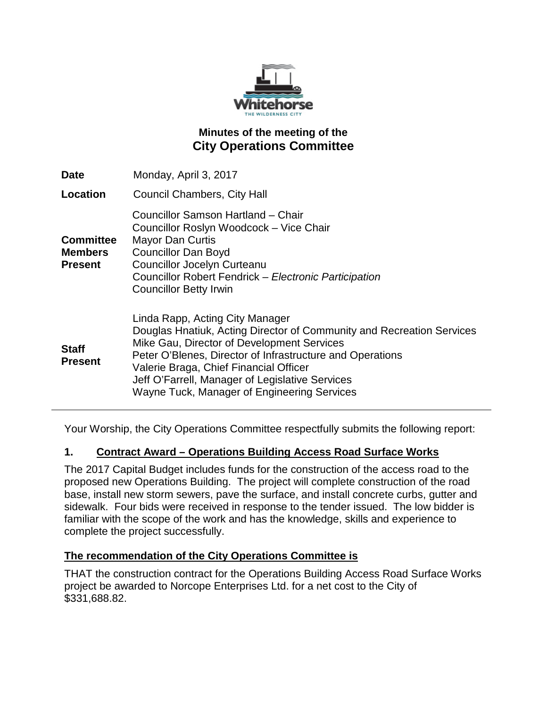

## **Minutes of the meeting of the City Operations Committee**

| <b>Date</b>                                          | Monday, April 3, 2017                                                                                                                                                                                                                                                                                                                                           |
|------------------------------------------------------|-----------------------------------------------------------------------------------------------------------------------------------------------------------------------------------------------------------------------------------------------------------------------------------------------------------------------------------------------------------------|
| Location                                             | <b>Council Chambers, City Hall</b>                                                                                                                                                                                                                                                                                                                              |
| <b>Committee</b><br><b>Members</b><br><b>Present</b> | Councillor Samson Hartland - Chair<br>Councillor Roslyn Woodcock - Vice Chair<br><b>Mayor Dan Curtis</b><br><b>Councillor Dan Boyd</b><br><b>Councillor Jocelyn Curteanu</b><br>Councillor Robert Fendrick - Electronic Participation<br><b>Councillor Betty Irwin</b>                                                                                          |
| <b>Staff</b><br><b>Present</b>                       | Linda Rapp, Acting City Manager<br>Douglas Hnatiuk, Acting Director of Community and Recreation Services<br>Mike Gau, Director of Development Services<br>Peter O'Blenes, Director of Infrastructure and Operations<br>Valerie Braga, Chief Financial Officer<br>Jeff O'Farrell, Manager of Legislative Services<br>Wayne Tuck, Manager of Engineering Services |

Your Worship, the City Operations Committee respectfully submits the following report:

#### **1. Contract Award – Operations Building Access Road Surface Works**

The 2017 Capital Budget includes funds for the construction of the access road to the proposed new Operations Building. The project will complete construction of the road base, install new storm sewers, pave the surface, and install concrete curbs, gutter and sidewalk. Four bids were received in response to the tender issued. The low bidder is familiar with the scope of the work and has the knowledge, skills and experience to complete the project successfully.

#### **The recommendation of the City Operations Committee is**

THAT the construction contract for the Operations Building Access Road Surface Works project be awarded to Norcope Enterprises Ltd. for a net cost to the City of \$331,688.82.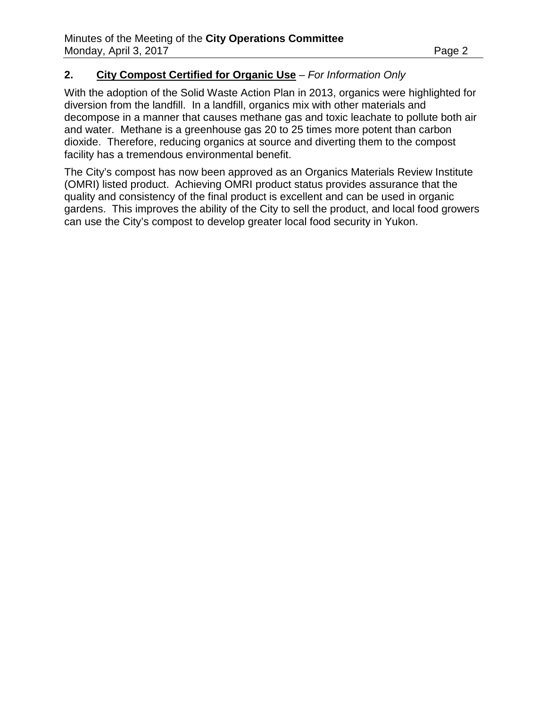#### **2. City Compost Certified for Organic Use** – *For Information Only*

With the adoption of the Solid Waste Action Plan in 2013, organics were highlighted for diversion from the landfill. In a landfill, organics mix with other materials and decompose in a manner that causes methane gas and toxic leachate to pollute both air and water. Methane is a greenhouse gas 20 to 25 times more potent than carbon dioxide. Therefore, reducing organics at source and diverting them to the compost facility has a tremendous environmental benefit.

The City's compost has now been approved as an Organics Materials Review Institute (OMRI) listed product. Achieving OMRI product status provides assurance that the quality and consistency of the final product is excellent and can be used in organic gardens. This improves the ability of the City to sell the product, and local food growers can use the City's compost to develop greater local food security in Yukon.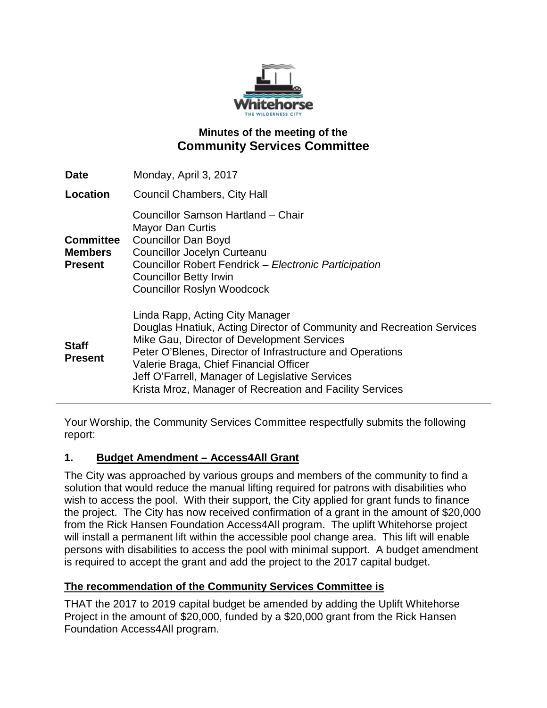

### **Minutes of the meeting of the Community Services Committee**

| <b>Date</b>                                          | Monday, April 3, 2017                                                                                                                                                                                                                                                                                                                                                        |
|------------------------------------------------------|------------------------------------------------------------------------------------------------------------------------------------------------------------------------------------------------------------------------------------------------------------------------------------------------------------------------------------------------------------------------------|
| <b>Location</b>                                      | <b>Council Chambers, City Hall</b>                                                                                                                                                                                                                                                                                                                                           |
| <b>Committee</b><br><b>Members</b><br><b>Present</b> | Councillor Samson Hartland - Chair<br><b>Mayor Dan Curtis</b><br><b>Councillor Dan Boyd</b><br><b>Councillor Jocelyn Curteanu</b><br>Councillor Robert Fendrick - Electronic Participation<br><b>Councillor Betty Irwin</b><br><b>Councillor Roslyn Woodcock</b>                                                                                                             |
| <b>Staff</b><br><b>Present</b>                       | Linda Rapp, Acting City Manager<br>Douglas Hnatiuk, Acting Director of Community and Recreation Services<br>Mike Gau, Director of Development Services<br>Peter O'Blenes, Director of Infrastructure and Operations<br>Valerie Braga, Chief Financial Officer<br>Jeff O'Farrell, Manager of Legislative Services<br>Krista Mroz, Manager of Recreation and Facility Services |

Your Worship, the Community Services Committee respectfully submits the following report:

#### **1. Budget Amendment – Access4All Grant**

The City was approached by various groups and members of the community to find a solution that would reduce the manual lifting required for patrons with disabilities who wish to access the pool. With their support, the City applied for grant funds to finance the project. The City has now received confirmation of a grant in the amount of \$20,000 from the Rick Hansen Foundation Access4All program. The uplift Whitehorse project will install a permanent lift within the accessible pool change area. This lift will enable persons with disabilities to access the pool with minimal support. A budget amendment is required to accept the grant and add the project to the 2017 capital budget.

#### **The recommendation of the Community Services Committee is**

THAT the 2017 to 2019 capital budget be amended by adding the Uplift Whitehorse Project in the amount of \$20,000, funded by a \$20,000 grant from the Rick Hansen Foundation Access4All program.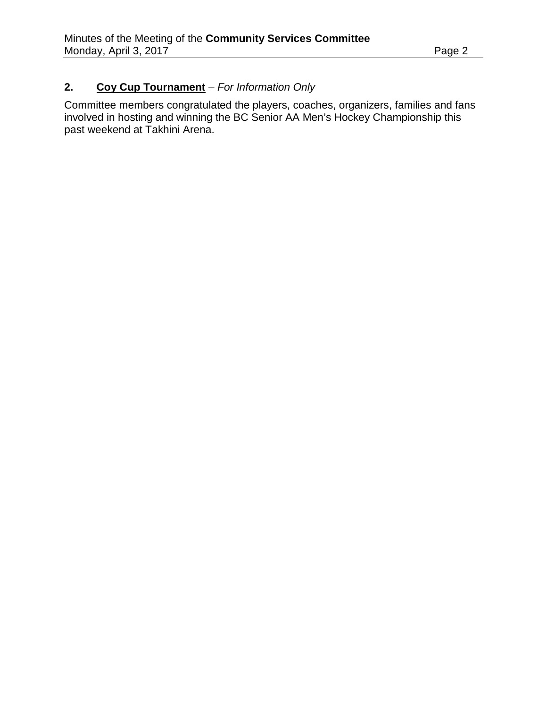## **2. Coy Cup Tournament** – *For Information Only*

Committee members congratulated the players, coaches, organizers, families and fans involved in hosting and winning the BC Senior AA Men's Hockey Championship this past weekend at Takhini Arena.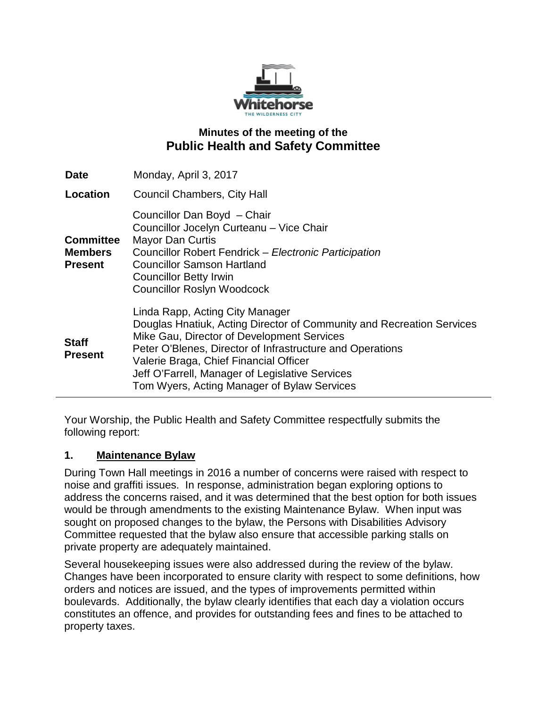

### **Minutes of the meeting of the Public Health and Safety Committee**

| <b>Date</b>                                          | Monday, April 3, 2017                                                                                                                                                                                                                                                                                                                                           |
|------------------------------------------------------|-----------------------------------------------------------------------------------------------------------------------------------------------------------------------------------------------------------------------------------------------------------------------------------------------------------------------------------------------------------------|
| Location                                             | <b>Council Chambers, City Hall</b>                                                                                                                                                                                                                                                                                                                              |
| <b>Committee</b><br><b>Members</b><br><b>Present</b> | Councillor Dan Boyd - Chair<br>Councillor Jocelyn Curteanu - Vice Chair<br><b>Mayor Dan Curtis</b><br>Councillor Robert Fendrick - Electronic Participation<br><b>Councillor Samson Hartland</b><br><b>Councillor Betty Irwin</b><br><b>Councillor Roslyn Woodcock</b>                                                                                          |
| <b>Staff</b><br><b>Present</b>                       | Linda Rapp, Acting City Manager<br>Douglas Hnatiuk, Acting Director of Community and Recreation Services<br>Mike Gau, Director of Development Services<br>Peter O'Blenes, Director of Infrastructure and Operations<br>Valerie Braga, Chief Financial Officer<br>Jeff O'Farrell, Manager of Legislative Services<br>Tom Wyers, Acting Manager of Bylaw Services |

Your Worship, the Public Health and Safety Committee respectfully submits the following report:

#### **1. Maintenance Bylaw**

During Town Hall meetings in 2016 a number of concerns were raised with respect to noise and graffiti issues. In response, administration began exploring options to address the concerns raised, and it was determined that the best option for both issues would be through amendments to the existing Maintenance Bylaw. When input was sought on proposed changes to the bylaw, the Persons with Disabilities Advisory Committee requested that the bylaw also ensure that accessible parking stalls on private property are adequately maintained.

Several housekeeping issues were also addressed during the review of the bylaw. Changes have been incorporated to ensure clarity with respect to some definitions, how orders and notices are issued, and the types of improvements permitted within boulevards. Additionally, the bylaw clearly identifies that each day a violation occurs constitutes an offence, and provides for outstanding fees and fines to be attached to property taxes.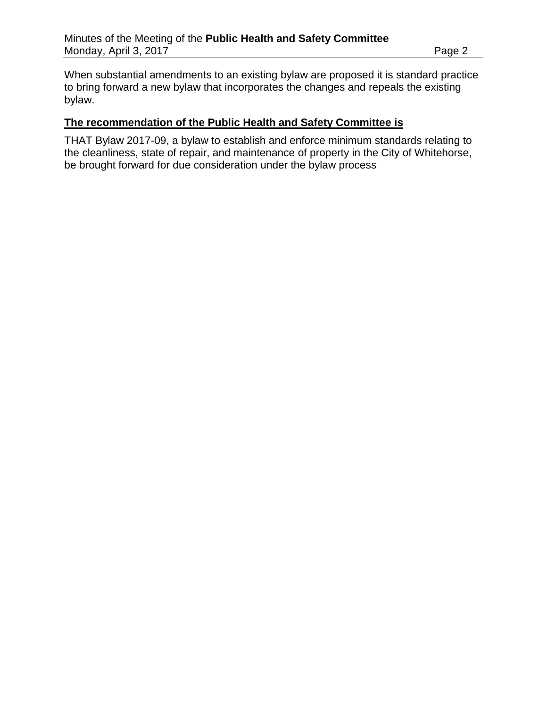When substantial amendments to an existing bylaw are proposed it is standard practice to bring forward a new bylaw that incorporates the changes and repeals the existing bylaw.

#### **The recommendation of the Public Health and Safety Committee is**

THAT Bylaw 2017-09, a bylaw to establish and enforce minimum standards relating to the cleanliness, state of repair, and maintenance of property in the City of Whitehorse, be brought forward for due consideration under the bylaw process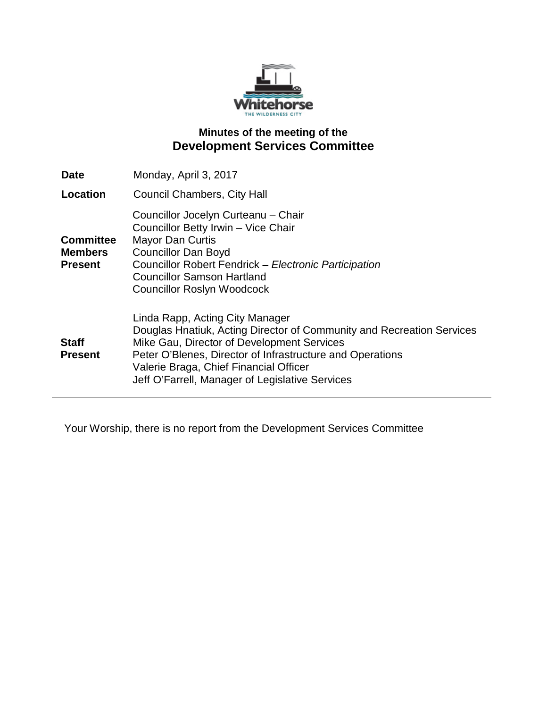

## **Minutes of the meeting of the Development Services Committee**

| <b>Date</b>                                          | Monday, April 3, 2017                                                                                                                                                                                                                                                                                            |
|------------------------------------------------------|------------------------------------------------------------------------------------------------------------------------------------------------------------------------------------------------------------------------------------------------------------------------------------------------------------------|
| Location                                             | Council Chambers, City Hall                                                                                                                                                                                                                                                                                      |
| <b>Committee</b><br><b>Members</b><br><b>Present</b> | Councillor Jocelyn Curteanu - Chair<br>Councillor Betty Irwin - Vice Chair<br><b>Mayor Dan Curtis</b><br><b>Councillor Dan Boyd</b><br>Councillor Robert Fendrick - Electronic Participation<br><b>Councillor Samson Hartland</b><br><b>Councillor Roslyn Woodcock</b>                                           |
| <b>Staff</b><br><b>Present</b>                       | Linda Rapp, Acting City Manager<br>Douglas Hnatiuk, Acting Director of Community and Recreation Services<br>Mike Gau, Director of Development Services<br>Peter O'Blenes, Director of Infrastructure and Operations<br>Valerie Braga, Chief Financial Officer<br>Jeff O'Farrell, Manager of Legislative Services |

Your Worship, there is no report from the Development Services Committee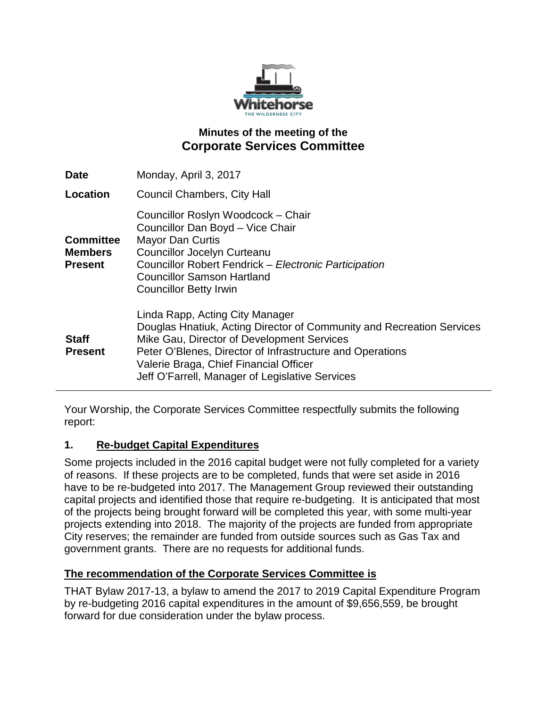

## **Minutes of the meeting of the Corporate Services Committee**

| <b>Date</b>                                          | Monday, April 3, 2017                                                                                                                                                                                                                                                                                            |
|------------------------------------------------------|------------------------------------------------------------------------------------------------------------------------------------------------------------------------------------------------------------------------------------------------------------------------------------------------------------------|
| Location                                             | <b>Council Chambers, City Hall</b>                                                                                                                                                                                                                                                                               |
| <b>Committee</b><br><b>Members</b><br><b>Present</b> | Councillor Roslyn Woodcock - Chair<br>Councillor Dan Boyd - Vice Chair<br><b>Mayor Dan Curtis</b><br><b>Councillor Jocelyn Curteanu</b><br>Councillor Robert Fendrick - Electronic Participation<br><b>Councillor Samson Hartland</b><br><b>Councillor Betty Irwin</b>                                           |
| <b>Staff</b><br><b>Present</b>                       | Linda Rapp, Acting City Manager<br>Douglas Hnatiuk, Acting Director of Community and Recreation Services<br>Mike Gau, Director of Development Services<br>Peter O'Blenes, Director of Infrastructure and Operations<br>Valerie Braga, Chief Financial Officer<br>Jeff O'Farrell, Manager of Legislative Services |

Your Worship, the Corporate Services Committee respectfully submits the following report:

#### **1. Re-budget Capital Expenditures**

Some projects included in the 2016 capital budget were not fully completed for a variety of reasons. If these projects are to be completed, funds that were set aside in 2016 have to be re-budgeted into 2017. The Management Group reviewed their outstanding capital projects and identified those that require re-budgeting. It is anticipated that most of the projects being brought forward will be completed this year, with some multi-year projects extending into 2018. The majority of the projects are funded from appropriate City reserves; the remainder are funded from outside sources such as Gas Tax and government grants. There are no requests for additional funds.

#### **The recommendation of the Corporate Services Committee is**

THAT Bylaw 2017-13, a bylaw to amend the 2017 to 2019 Capital Expenditure Program by re-budgeting 2016 capital expenditures in the amount of \$9,656,559, be brought forward for due consideration under the bylaw process.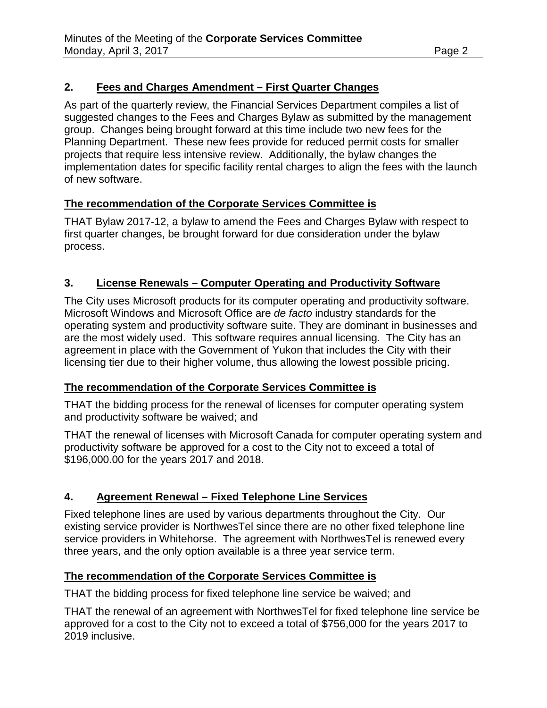## **2. Fees and Charges Amendment – First Quarter Changes**

As part of the quarterly review, the Financial Services Department compiles a list of suggested changes to the Fees and Charges Bylaw as submitted by the management group. Changes being brought forward at this time include two new fees for the Planning Department. These new fees provide for reduced permit costs for smaller projects that require less intensive review. Additionally, the bylaw changes the implementation dates for specific facility rental charges to align the fees with the launch of new software.

## **The recommendation of the Corporate Services Committee is**

THAT Bylaw 2017-12, a bylaw to amend the Fees and Charges Bylaw with respect to first quarter changes, be brought forward for due consideration under the bylaw process.

## **3. License Renewals – Computer Operating and Productivity Software**

The City uses Microsoft products for its computer operating and productivity software. Microsoft Windows and Microsoft Office are *de facto* industry standards for the operating system and productivity software suite. They are dominant in businesses and are the most widely used. This software requires annual licensing. The City has an agreement in place with the Government of Yukon that includes the City with their licensing tier due to their higher volume, thus allowing the lowest possible pricing.

### **The recommendation of the Corporate Services Committee is**

THAT the bidding process for the renewal of licenses for computer operating system and productivity software be waived; and

THAT the renewal of licenses with Microsoft Canada for computer operating system and productivity software be approved for a cost to the City not to exceed a total of \$196,000.00 for the years 2017 and 2018.

# **4. Agreement Renewal – Fixed Telephone Line Services**

Fixed telephone lines are used by various departments throughout the City. Our existing service provider is NorthwesTel since there are no other fixed telephone line service providers in Whitehorse. The agreement with NorthwesTel is renewed every three years, and the only option available is a three year service term.

### **The recommendation of the Corporate Services Committee is**

THAT the bidding process for fixed telephone line service be waived; and

THAT the renewal of an agreement with NorthwesTel for fixed telephone line service be approved for a cost to the City not to exceed a total of \$756,000 for the years 2017 to 2019 inclusive.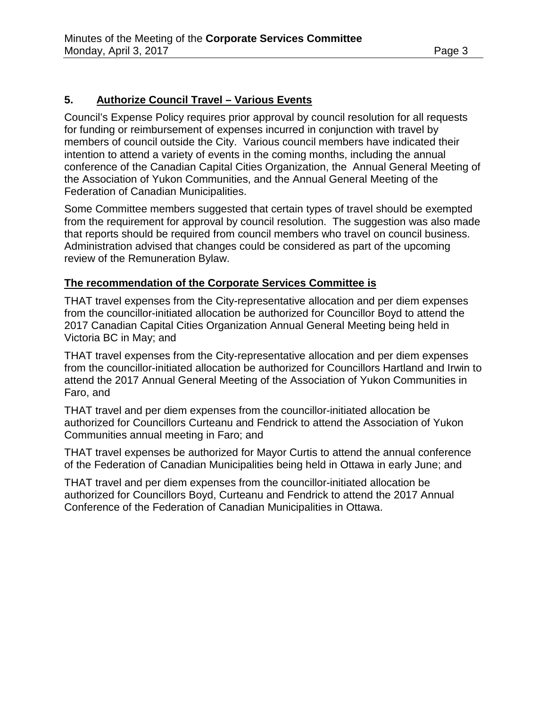### **5. Authorize Council Travel – Various Events**

Council's Expense Policy requires prior approval by council resolution for all requests for funding or reimbursement of expenses incurred in conjunction with travel by members of council outside the City. Various council members have indicated their intention to attend a variety of events in the coming months, including the annual conference of the Canadian Capital Cities Organization, the Annual General Meeting of the Association of Yukon Communities, and the Annual General Meeting of the Federation of Canadian Municipalities.

Some Committee members suggested that certain types of travel should be exempted from the requirement for approval by council resolution. The suggestion was also made that reports should be required from council members who travel on council business. Administration advised that changes could be considered as part of the upcoming review of the Remuneration Bylaw.

#### **The recommendation of the Corporate Services Committee is**

THAT travel expenses from the City-representative allocation and per diem expenses from the councillor-initiated allocation be authorized for Councillor Boyd to attend the 2017 Canadian Capital Cities Organization Annual General Meeting being held in Victoria BC in May; and

THAT travel expenses from the City-representative allocation and per diem expenses from the councillor-initiated allocation be authorized for Councillors Hartland and Irwin to attend the 2017 Annual General Meeting of the Association of Yukon Communities in Faro, and

THAT travel and per diem expenses from the councillor-initiated allocation be authorized for Councillors Curteanu and Fendrick to attend the Association of Yukon Communities annual meeting in Faro; and

THAT travel expenses be authorized for Mayor Curtis to attend the annual conference of the Federation of Canadian Municipalities being held in Ottawa in early June; and

THAT travel and per diem expenses from the councillor-initiated allocation be authorized for Councillors Boyd, Curteanu and Fendrick to attend the 2017 Annual Conference of the Federation of Canadian Municipalities in Ottawa.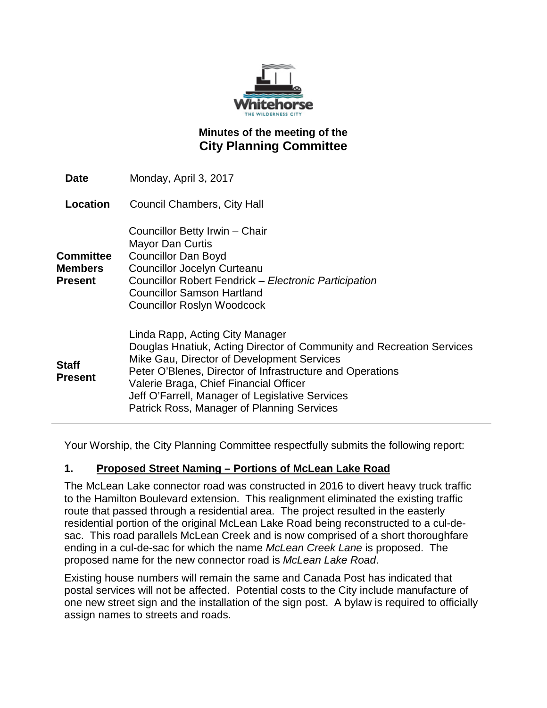

## **Minutes of the meeting of the City Planning Committee**

| <b>Date</b>                     | Monday, April 3, 2017                                                                                                                                                                                                                                                                                                                                          |
|---------------------------------|----------------------------------------------------------------------------------------------------------------------------------------------------------------------------------------------------------------------------------------------------------------------------------------------------------------------------------------------------------------|
| <b>Location</b>                 | <b>Council Chambers, City Hall</b>                                                                                                                                                                                                                                                                                                                             |
| Committee<br>Members<br>Present | Councillor Betty Irwin - Chair<br><b>Mayor Dan Curtis</b><br><b>Councillor Dan Boyd</b><br><b>Councillor Jocelyn Curteanu</b><br>Councillor Robert Fendrick - Electronic Participation<br><b>Councillor Samson Hartland</b><br><b>Councillor Roslyn Woodcock</b>                                                                                               |
| <b>Staff</b><br><b>Present</b>  | Linda Rapp, Acting City Manager<br>Douglas Hnatiuk, Acting Director of Community and Recreation Services<br>Mike Gau, Director of Development Services<br>Peter O'Blenes, Director of Infrastructure and Operations<br>Valerie Braga, Chief Financial Officer<br>Jeff O'Farrell, Manager of Legislative Services<br>Patrick Ross, Manager of Planning Services |

Your Worship, the City Planning Committee respectfully submits the following report:

### **1. Proposed Street Naming – Portions of McLean Lake Road**

The McLean Lake connector road was constructed in 2016 to divert heavy truck traffic to the Hamilton Boulevard extension. This realignment eliminated the existing traffic route that passed through a residential area. The project resulted in the easterly residential portion of the original McLean Lake Road being reconstructed to a cul-desac. This road parallels McLean Creek and is now comprised of a short thoroughfare ending in a cul-de-sac for which the name *McLean Creek Lane* is proposed. The proposed name for the new connector road is *McLean Lake Road*.

Existing house numbers will remain the same and Canada Post has indicated that postal services will not be affected. Potential costs to the City include manufacture of one new street sign and the installation of the sign post. A bylaw is required to officially assign names to streets and roads.